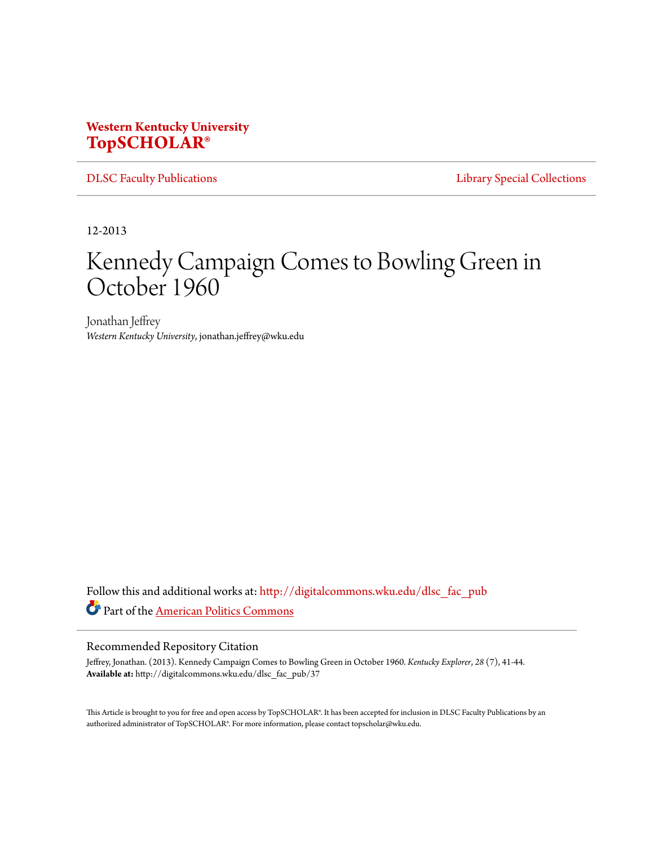## **Western Kentucky University [TopSCHOLAR®](http://digitalcommons.wku.edu?utm_source=digitalcommons.wku.edu%2Fdlsc_fac_pub%2F37&utm_medium=PDF&utm_campaign=PDFCoverPages)**

[DLSC Faculty Publications](http://digitalcommons.wku.edu/dlsc_fac_pub?utm_source=digitalcommons.wku.edu%2Fdlsc_fac_pub%2F37&utm_medium=PDF&utm_campaign=PDFCoverPages) **[Library Special Collections](http://digitalcommons.wku.edu/dlsc?utm_source=digitalcommons.wku.edu%2Fdlsc_fac_pub%2F37&utm_medium=PDF&utm_campaign=PDFCoverPages)** 

12-2013

## Kennedy Campaign Comes to Bowling Green in October 1960

Jonathan Jeffrey *Western Kentucky University*, jonathan.jeffrey@wku.edu

Follow this and additional works at: [http://digitalcommons.wku.edu/dlsc\\_fac\\_pub](http://digitalcommons.wku.edu/dlsc_fac_pub?utm_source=digitalcommons.wku.edu%2Fdlsc_fac_pub%2F37&utm_medium=PDF&utm_campaign=PDFCoverPages) Part of the [American Politics Commons](http://network.bepress.com/hgg/discipline/387?utm_source=digitalcommons.wku.edu%2Fdlsc_fac_pub%2F37&utm_medium=PDF&utm_campaign=PDFCoverPages)

## Recommended Repository Citation

Jeffrey, Jonathan. (2013). Kennedy Campaign Comes to Bowling Green in October 1960. *Kentucky Explorer*, *28* (7), 41-44. **Available at:** http://digitalcommons.wku.edu/dlsc\_fac\_pub/37

This Article is brought to you for free and open access by TopSCHOLAR®. It has been accepted for inclusion in DLSC Faculty Publications by an authorized administrator of TopSCHOLAR®. For more information, please contact topscholar@wku.edu.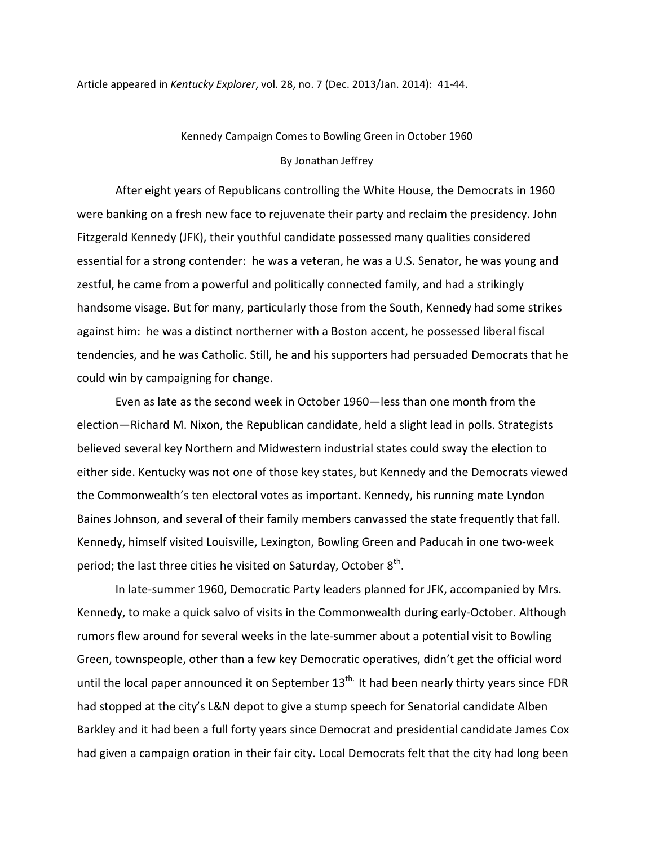Article appeared in Kentucky Explorer, vol. 28, no. 7 (Dec. 2013/Jan. 2014): 41-44.

## Kennedy Campaign Comes to Bowling Green in October 1960 By Jonathan Jeffrey

After eight years of Republicans controlling the White House, the Democrats in 1960 were banking on a fresh new face to rejuvenate their party and reclaim the presidency. John Fitzgerald Kennedy (JFK), their youthful candidate possessed many qualities considered essential for a strong contender: he was a veteran, he was a U.S. Senator, he was young and zestful, he came from a powerful and politically connected family, and had a strikingly handsome visage. But for many, particularly those from the South, Kennedy had some strikes against him: he was a distinct northerner with a Boston accent, he possessed liberal fiscal tendencies, and he was Catholic. Still, he and his supporters had persuaded Democrats that he could win by campaigning for change.

 Even as late as the second week in October 1960—less than one month from the election—Richard M. Nixon, the Republican candidate, held a slight lead in polls. Strategists believed several key Northern and Midwestern industrial states could sway the election to either side. Kentucky was not one of those key states, but Kennedy and the Democrats viewed the Commonwealth's ten electoral votes as important. Kennedy, his running mate Lyndon Baines Johnson, and several of their family members canvassed the state frequently that fall. Kennedy, himself visited Louisville, Lexington, Bowling Green and Paducah in one two-week period; the last three cities he visited on Saturday, October  $8^{\text{th}}$ .

 In late-summer 1960, Democratic Party leaders planned for JFK, accompanied by Mrs. Kennedy, to make a quick salvo of visits in the Commonwealth during early-October. Although rumors flew around for several weeks in the late-summer about a potential visit to Bowling Green, townspeople, other than a few key Democratic operatives, didn't get the official word until the local paper announced it on September  $13<sup>th</sup>$ . It had been nearly thirty years since FDR had stopped at the city's L&N depot to give a stump speech for Senatorial candidate Alben Barkley and it had been a full forty years since Democrat and presidential candidate James Cox had given a campaign oration in their fair city. Local Democrats felt that the city had long been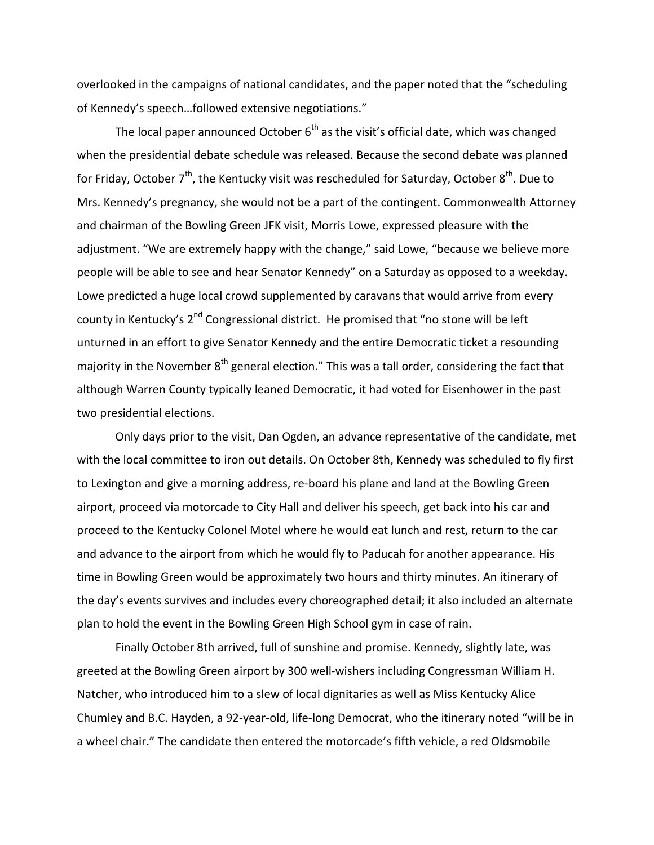overlooked in the campaigns of national candidates, and the paper noted that the "scheduling of Kennedy's speech…followed extensive negotiations."

The local paper announced October  $6<sup>th</sup>$  as the visit's official date, which was changed when the presidential debate schedule was released. Because the second debate was planned for Friday, October 7<sup>th</sup>, the Kentucky visit was rescheduled for Saturday, October 8<sup>th</sup>. Due to Mrs. Kennedy's pregnancy, she would not be a part of the contingent. Commonwealth Attorney and chairman of the Bowling Green JFK visit, Morris Lowe, expressed pleasure with the adjustment. "We are extremely happy with the change," said Lowe, "because we believe more people will be able to see and hear Senator Kennedy" on a Saturday as opposed to a weekday. Lowe predicted a huge local crowd supplemented by caravans that would arrive from every county in Kentucky's 2<sup>nd</sup> Congressional district. He promised that "no stone will be left unturned in an effort to give Senator Kennedy and the entire Democratic ticket a resounding majority in the November 8<sup>th</sup> general election." This was a tall order, considering the fact that although Warren County typically leaned Democratic, it had voted for Eisenhower in the past two presidential elections.

 Only days prior to the visit, Dan Ogden, an advance representative of the candidate, met with the local committee to iron out details. On October 8th, Kennedy was scheduled to fly first to Lexington and give a morning address, re-board his plane and land at the Bowling Green airport, proceed via motorcade to City Hall and deliver his speech, get back into his car and proceed to the Kentucky Colonel Motel where he would eat lunch and rest, return to the car and advance to the airport from which he would fly to Paducah for another appearance. His time in Bowling Green would be approximately two hours and thirty minutes. An itinerary of the day's events survives and includes every choreographed detail; it also included an alternate plan to hold the event in the Bowling Green High School gym in case of rain.

 Finally October 8th arrived, full of sunshine and promise. Kennedy, slightly late, was greeted at the Bowling Green airport by 300 well-wishers including Congressman William H. Natcher, who introduced him to a slew of local dignitaries as well as Miss Kentucky Alice Chumley and B.C. Hayden, a 92-year-old, life-long Democrat, who the itinerary noted "will be in a wheel chair." The candidate then entered the motorcade's fifth vehicle, a red Oldsmobile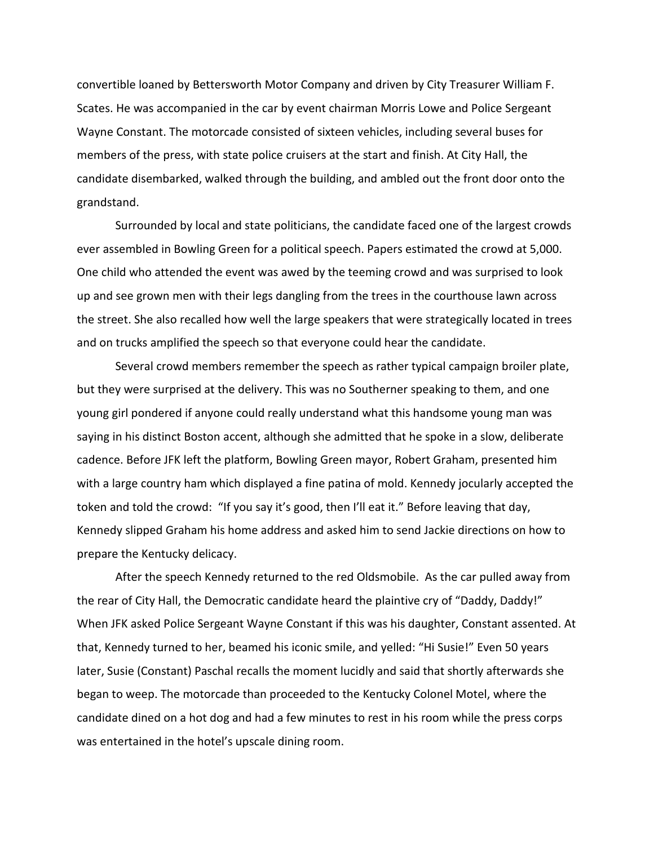convertible loaned by Bettersworth Motor Company and driven by City Treasurer William F. Scates. He was accompanied in the car by event chairman Morris Lowe and Police Sergeant Wayne Constant. The motorcade consisted of sixteen vehicles, including several buses for members of the press, with state police cruisers at the start and finish. At City Hall, the candidate disembarked, walked through the building, and ambled out the front door onto the grandstand.

 Surrounded by local and state politicians, the candidate faced one of the largest crowds ever assembled in Bowling Green for a political speech. Papers estimated the crowd at 5,000. One child who attended the event was awed by the teeming crowd and was surprised to look up and see grown men with their legs dangling from the trees in the courthouse lawn across the street. She also recalled how well the large speakers that were strategically located in trees and on trucks amplified the speech so that everyone could hear the candidate.

 Several crowd members remember the speech as rather typical campaign broiler plate, but they were surprised at the delivery. This was no Southerner speaking to them, and one young girl pondered if anyone could really understand what this handsome young man was saying in his distinct Boston accent, although she admitted that he spoke in a slow, deliberate cadence. Before JFK left the platform, Bowling Green mayor, Robert Graham, presented him with a large country ham which displayed a fine patina of mold. Kennedy jocularly accepted the token and told the crowd: "If you say it's good, then I'll eat it." Before leaving that day, Kennedy slipped Graham his home address and asked him to send Jackie directions on how to prepare the Kentucky delicacy.

 After the speech Kennedy returned to the red Oldsmobile. As the car pulled away from the rear of City Hall, the Democratic candidate heard the plaintive cry of "Daddy, Daddy!" When JFK asked Police Sergeant Wayne Constant if this was his daughter, Constant assented. At that, Kennedy turned to her, beamed his iconic smile, and yelled: "Hi Susie!" Even 50 years later, Susie (Constant) Paschal recalls the moment lucidly and said that shortly afterwards she began to weep. The motorcade than proceeded to the Kentucky Colonel Motel, where the candidate dined on a hot dog and had a few minutes to rest in his room while the press corps was entertained in the hotel's upscale dining room.